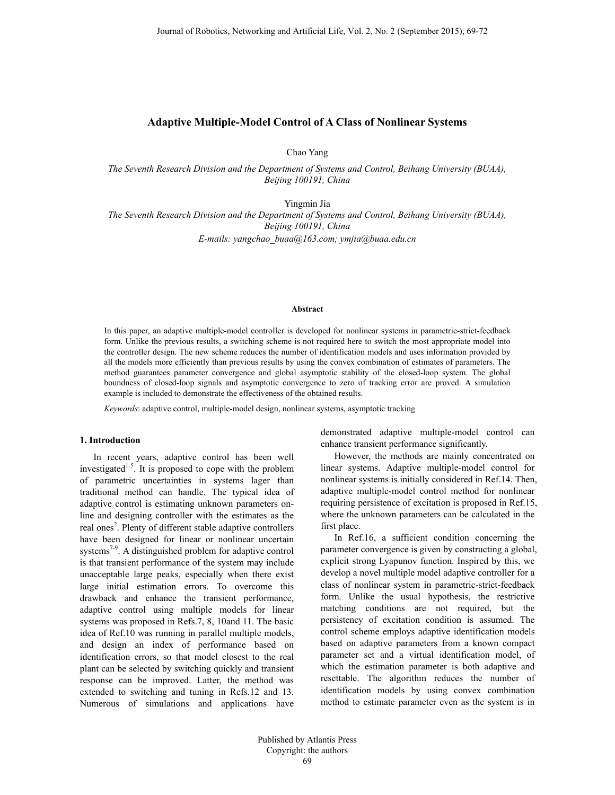# **Adaptive Multiple-Model Control of A Class of Nonlinear Systems**

Chao Yang

*The Seventh Research Division and the Department of Systems and Control, Beihang University (BUAA), Beijing 100191, China* 

Yingmin Jia

*The Seventh Research Division and the Department of Systems and Control, Beihang University (BUAA), Beijing 100191, China* 

*E-mails: yangchao\_buaa@163.com; ymjia@buaa.edu.cn* 

### **Abstract**

In this paper, an adaptive multiple-model controller is developed for nonlinear systems in parametric-strict-feedback form. Unlike the previous results, a switching scheme is not required here to switch the most appropriate model into the controller design. The new scheme reduces the number of identification models and uses information provided by all the models more efficiently than previous results by using the convex combination of estimates of parameters. The method guarantees parameter convergence and global asymptotic stability of the closed-loop system. The global boundness of closed-loop signals and asymptotic convergence to zero of tracking error are proved. A simulation example is included to demonstrate the effectiveness of the obtained results.

*Keywords*: adaptive control, multiple-model design, nonlinear systems, asymptotic tracking

## **1. Introduction**

In recent years, adaptive control has been well investigated<sup>1-5</sup>. It is proposed to cope with the problem of parametric uncertainties in systems lager than traditional method can handle. The typical idea of adaptive control is estimating unknown parameters online and designing controller with the estimates as the real ones<sup>2</sup>. Plenty of different stable adaptive controllers have been designed for linear or nonlinear uncertain systems<sup>7-9</sup>. A distinguished problem for adaptive control is that transient performance of the system may include unacceptable large peaks, especially when there exist large initial estimation errors. To overcome this drawback and enhance the transient performance, adaptive control using multiple models for linear systems was proposed in Refs.7, 8, 10and 11. The basic idea of Ref.10 was running in parallel multiple models, and design an index of performance based on identification errors, so that model closest to the real plant can be selected by switching quickly and transient response can be improved. Latter, the method was extended to switching and tuning in Refs.12 and 13. Numerous of simulations and applications have

demonstrated adaptive multiple-model control can enhance transient performance significantly.

However, the methods are mainly concentrated on linear systems. Adaptive multiple-model control for nonlinear systems is initially considered in Ref.14. Then, adaptive multiple-model control method for nonlinear requiring persistence of excitation is proposed in Ref.15, where the unknown parameters can be calculated in the first place.

In Ref.16, a sufficient condition concerning the parameter convergence is given by constructing a global, explicit strong Lyapunov function. Inspired by this, we develop a novel multiple model adaptive controller for a class of nonlinear system in parametric-strict-feedback form. Unlike the usual hypothesis, the restrictive matching conditions are not required, but the persistency of excitation condition is assumed. The control scheme employs adaptive identification models based on adaptive parameters from a known compact parameter set and a virtual identification model, of which the estimation parameter is both adaptive and resettable. The algorithm reduces the number of identification models by using convex combination method to estimate parameter even as the system is in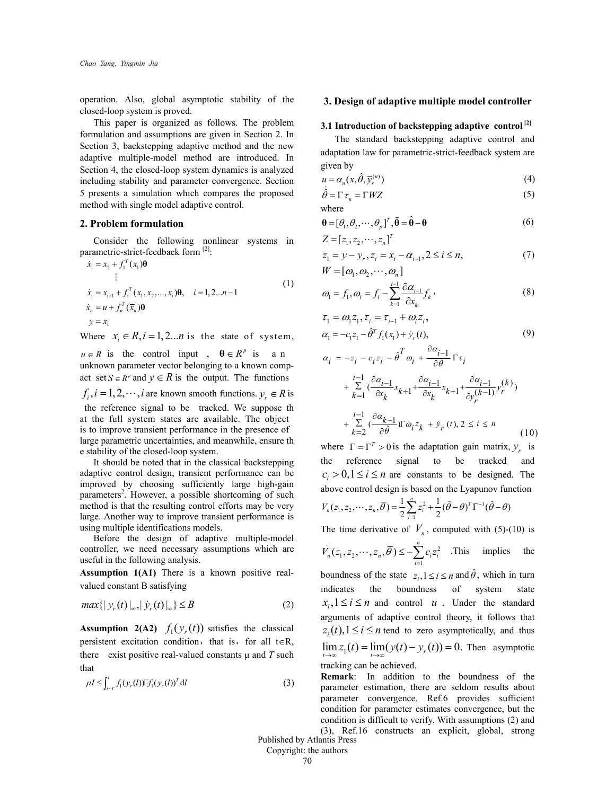operation. Also, global asymptotic stability of the closed-loop system is proved.

This paper is organized as follows. The problem formulation and assumptions are given in Section 2. In Section 3, backstepping adaptive method and the new adaptive multiple-model method are introduced. In Section 4, the closed-loop system dynamics is analyzed including stability and parameter convergence. Section 5 presents a simulation which compares the proposed method with single model adaptive control.

### **2. Problem formulation**

Consider the following nonlinear systems in parametric-strict-feedback form [2]:

$$
\dot{x}_1 = x_2 + f_1^T(x_1)\mathbf{\theta}
$$
\n
$$
\vdots
$$
\n
$$
\dot{x}_i = x_{i+1} + f_i^T(x_1, x_2, \dots, x_i)\mathbf{\theta}, \quad i = 1, 2 \dots n - 1
$$
\n
$$
\dot{x}_n = u + f_n^T(\bar{x}_n)\mathbf{\theta}
$$
\n
$$
y = x_1
$$
\n(1)

Where  $x_i \in R$ ,  $i = 1, 2...n$  is the state of system,

 $u \in R$  is the control input ,  $\theta \in R^p$  is a n unknown parameter vector belonging to a known compact set  $S \in \mathbb{R}^p$  and  $y \in \mathbb{R}$  is the output. The functions  $f_i, i = 1, 2, \dots, i$  are known smooth functions.  $y_i \in R$  is the reference signal to be tracked. We suppose th at the full system states are available. The object is to improve transient performance in the presence of large parametric uncertainties, and meanwhile, ensure th e stability of the closed-loop system. It should be noted that in the classical backstepping

adaptive control design, transient performance can be improved by choosing sufficiently large high-gain parameters<sup>2</sup>. However, a possible shortcoming of such method is that the resulting control efforts may be very large. Another way to improve transient performance is using multiple identifications models.

Before the design of adaptive multiple-model controller, we need necessary assumptions which are useful in the following analysis.

**Assumption 1(A1)** There is a known positive realvalued constant B satisfying

$$
\max\{|y_r(t)|_{\infty}, |\dot{y}_r(t)|_{\infty}\} \le B
$$
 (2)

**Assumption 2(A2)**  $f_1(y_r(t))$  satisfies the classical persistent excitation condition, that is, for all  $t \in R$ , there exist positive real-valued constants μ and *T* such that

$$
\mu I \le \int_{t-T}^{t} f_1(y_r(l)) \mathbb{I} f_1(y_r(l))^T dl
$$
\n(3)

# **3. Design of adaptive multiple model controller**

# **3.1 Introduction of backstepping adaptive control [2]**

The standard backstepping adaptive control and adaptation law for parametric-strict-feedback system are given by

$$
u = \alpha_n(x, \hat{\theta}, \overline{y}_r^{(n)})
$$
 (4)

$$
\dot{\hat{\theta}} = \Gamma \tau_n = \Gamma W Z \tag{5}
$$

where

$$
\mathbf{\theta} = [\theta_1, \theta_2, \cdots, \theta_p]^T, \tilde{\mathbf{\theta}} = \hat{\mathbf{\theta}} - \mathbf{\theta}
$$
\n
$$
Z = [z_1, z_2, \cdots, z]^{T}
$$
\n(6)

$$
z_1 = y - y_r, z_i = x_i - \alpha_{i-1}, 2 \le i \le n,
$$
\n(7)

$$
W = [\omega_1, \omega_2, \cdots, \omega_n]
$$

$$
\omega_{\mathbf{l}} = f_{\mathbf{l}}, \omega_{i} = f_{i} - \sum_{k=1}^{i-1} \frac{\partial \alpha_{i-1}}{\partial x_{k}} f_{k}, \qquad (8)
$$

$$
\tau_1 = \omega_1 z_1, \tau_i = \tau_{i-1} + \omega_i z_i, \n\alpha_1 = -c_1 z_1 - \hat{\theta}^T f_1(x_1) + \dot{y}_r(t),
$$
\n(9)

$$
\alpha_{i} = -z_{i} - c_{i}z_{i} - \hat{\theta}^{T} \omega_{i} + \frac{\partial \alpha_{i-1}}{\partial \hat{\theta}} \Gamma \tau_{i}
$$
\n
$$
+ \sum_{k=1}^{i-1} \left( \frac{\partial \alpha_{i-1}}{\partial x_{k}} x_{k+1} + \frac{\partial \alpha_{i-1}}{\partial x_{k}} x_{k+1} + \frac{\partial \alpha_{i-1}}{\partial y_{r}} y_{r}^{(k)} \right)
$$
\n
$$
+ \sum_{k=2}^{i-1} \left( \frac{\partial \alpha_{k-1}}{\partial \hat{\theta}} \right) \Gamma \omega_{i} z_{k} + \dot{y}_{r}(t), 2 \le i \le n \tag{10}
$$

where  $\Gamma = \Gamma^T > 0$  is the adaptation gain matrix,  $y_r$  is the reference signal to be tracked and  $c_i > 0, 1 \le i \le n$  are constants to be designed. The above control design is based on the Lyapunov function

$$
V_n(z_1, z_2, \cdots, z_n, \overline{\theta}) = \frac{1}{2} \sum_{i=1}^n z_i^2 + \frac{1}{2} (\hat{\theta} - \theta)^T \Gamma^{-1} (\hat{\theta} - \theta)
$$

The time derivative of  $V_n$ , computed with (5)-(10) is

 $\sum_{i=1}^{n} (z_1, z_2, \cdots, z_n, \overline{\theta}) \leq -\sum_{i=1}^{n} c_i z_i^2$  $(z_1, z_2, \cdots, z_n, \overline{\theta}) \leq -\sum_{i=1}^n$  $\mu^{(2_1, 2_2, \cdots, 2_n, \mathcal{O})} = \sum_{i=1}^{n} c_i^2 i$  $V_n(z_1, z_2, \dots, z_n, \theta) \leq -\sum_{i} c_i z_i$  $\cdots$ ,  $z_n$ ,  $\overline{\theta}$ )  $\leq -\sum_{i=1}^n c_i z_i^2$ . This implies the boundness of the state  $z_i, 1 \le i \le n$  and  $\hat{\theta}$ , which in turn indicates the boundness of system state  $x_i, 1 \le i \le n$  and control *u*. Under the standard

arguments of adaptive control theory, it follows that  $z_i(t)$ ,  $1 \le i \le n$  tend to zero asymptotically, and thus  $\lim z_1(t) = \lim (y(t) - y_r(t)) = 0$ . Then asymptotic tracking can be achieved.

**Remark**: In addition to the boundness of the parameter estimation, there are seldom results about parameter convergence. Ref.6 provides sufficient condition for parameter estimates convergence, but the condition is difficult to verify. With assumptions (2) and

(3), Ref.16 constructs an explicit, global, strong Published by Atlantis Press

Copyright: the authors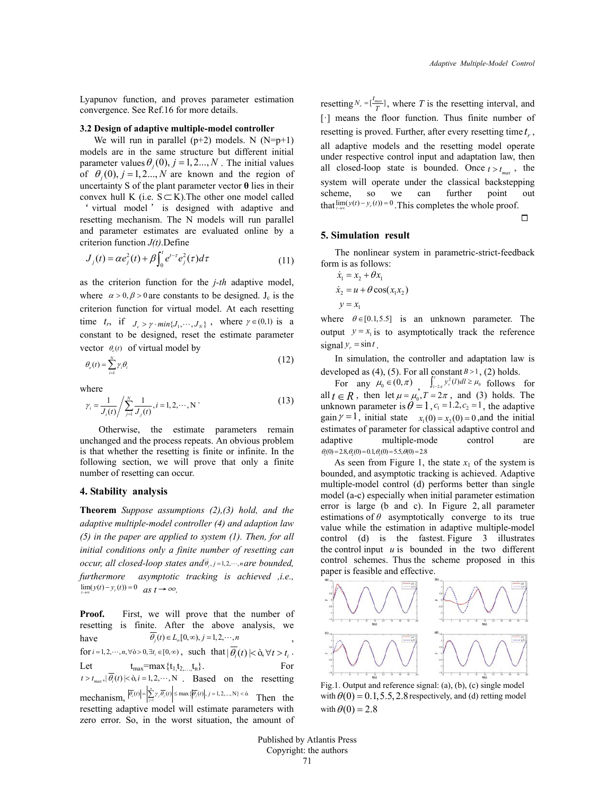Lyapunov function, and proves parameter estimation convergence. See Ref.16 for more details.

#### **3.2 Design of adaptive multiple-model controller**

We will run in parallel  $(p+2)$  models. N  $(N=p+1)$ models are in the same structure but different initial parameter values  $\theta_i(0)$ ,  $j = 1, 2..., N$ . The initial values of  $\theta_i(0)$ ,  $j = 1, 2...$ , *N* are known and the region of uncertainty S of the plant parameter vector **θ** lies in their convex hull K (i.e.  $S \subset K$ ). The other one model called

' virtual model ' is designed with adaptive and resetting mechanism. The N models will run parallel and parameter estimates are evaluated online by a criterion function *J(t)*.Define

$$
J_j(t) = \alpha e_j^2(t) + \beta \int_0^t e^{t-\tau} e_j^2(\tau) d\tau
$$
 (11)

as the criterion function for the *j-th* adaptive model, where  $\alpha > 0$ ,  $\beta > 0$  are constants to be designed. J<sub>c</sub> is the criterion function for virtual model. At each resetting time  $t_r$ , if  $J_c > \gamma \cdot min\{J_1, \dots, J_N\}$ , where  $\gamma \in (0,1)$  is a constant to be designed, reset the estimate parameter vector  $\theta_e(t)$  of virtual model by

$$
\theta_{e}(t) = \sum_{i=1}^{N} \gamma_{i} \theta_{i} \tag{12}
$$

where

$$
\gamma_i = \frac{1}{J_i(t)} / \sum_{j=1}^{N} \frac{1}{J_j(t)}, i = 1, 2, \cdots, N
$$
 (13)

Otherwise, the estimate parameters remain unchanged and the process repeats. An obvious problem is that whether the resetting is finite or infinite. In the following section, we will prove that only a finite number of resetting can occur.

## **4. Stability analysis**

**Theorem** *Suppose assumptions (2),(3) hold, and the adaptive multiple-model controller (4) and adaption law (5) in the paper are applied to system (1). Then, for all initial conditions only a finite number of resetting can occur, all closed-loop states and*  $\theta_i$ ,  $j = 1, 2, \dots, n$  *are bounded, furthermore asymptotic tracking is achieved ,i.e.,*   $\lim_{t \to \infty} (y(t) - y_r(t)) = 0$  *as t* → ∞.

**Proof.** First, we will prove that the number of resetting is finite. After the above analysis, we have  $\overline{\theta_i}(t) \in L_{\infty}[0, \infty), j = 1, 2, \cdots, n$ for  $i = 1, 2, \dots, n, \forall \delta > 0, \exists t_i \in [0, \infty)$ , such that  $|\overline{\theta_i}(t)| < \delta, \forall t > t_i$ . Let  $t_{max} = max{t_1, t_2, \ldots, t_n}$ . For  $t > t_{max}$ ,  $|\overline{\theta_i}(t)| < \delta, i = 1, 2, \dots, N$  Based on the resetting  $\text{mechanism, } |\overline{\theta_{\epsilon}}(t)| = \left| \sum_{j=1}^{n} \gamma_{j} \overline{\theta_{j}}(t) \right| \leq \max\{ |\overline{\theta_{j}}(t)|, j=1,2,...,N \} < \delta.$  Then the resetting adaptive model will estimate parameters with zero error. So, in the worst situation, the amount of

resetting  $N_r = [\frac{t_{max}}{T}]$ , where *T* is the resetting interval, and [·] means the floor function. Thus finite number of resetting is proved. Further, after every resetting time  $t<sub>r</sub>$ , all adaptive models and the resetting model operate under respective control input and adaptation law, then all closed-loop state is bounded. Once  $t > t_{max}$ , the system will operate under the classical backstepping scheme, so we can further point out that  $\lim_{t \to \infty} (y(t) - y_r(t)) = 0$ . This completes the whole proof.

 $\Box$ 

## **5. Simulation result**

The nonlinear system in parametric-strict-feedback form is as follows:

$$
\dot{x}_1 = x_2 + \theta x_1
$$
  
\n
$$
\dot{x}_2 = u + \theta \cos(x_1 x_2)
$$
  
\n
$$
y = x_1
$$

where  $\theta \in [0.1, 5.5]$  is an unknown parameter. The output  $y = x_1$  is to asymptotically track the reference signal  $y_r = \sin t$ .

In simulation, the controller and adaptation law is developed as (4), (5). For all constant  $B > 1$ , (2) holds.

For any  $\mu_0 \in (0, \pi)$ ,  $\int_{t_2 \pi}^{t} y_r^2(l) dl \ge \mu_0$  follows for all  $t \in R$ , then let  $\mu = \mu_0$ ,  $T = 2\pi$ , and (3) holds. The unknown parameter is  $\theta = 1$ ,  $c_1 = 1.2, c_2 = 1$ , the adaptive gain  $\gamma = 1$ , initial state  $x_1(0) = x_2(0) = 0$ , and the initial estimates of parameter for classical adaptive control and adaptive multiple-mode control are  $\theta_1(0) = 2.8, \theta_2(0) = 0.1, \theta_3(0) = 5.5, \theta(0) = 2.8$ 

As seen from Figure 1, the state  $x_1$  of the system is bounded, and asymptotic tracking is achieved. Adaptive multiple-model control (d) performs better than single model (a-c) especially when initial parameter estimation error is large (b and c). In Figure 2, all parameter estimations of  $\theta$  asymptotically converge to its true value while the estimation in adaptive multiple-model control (d) is the fastest. Figure 3 illustrates the control input  $u$  is bounded in the two different control schemes. Thus the scheme proposed in this paper is feasible and effective.



Fig.1. Output and reference signal: (a), (b), (c) single model with  $\theta(0) = 0.1, 5.5, 2.8$  respectively, and (d) retting model with  $\theta(0) = 2.8$